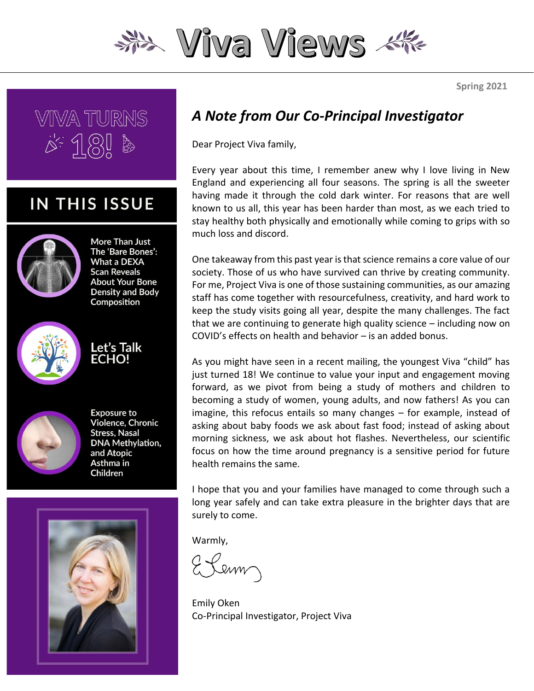

**VIIVA TURNS**  $A = \frac{1}{2}$ 

### **IN THIS ISSUE**



More Than Just The 'Bare Bones': What a DEXA **Scan Reveals About Your Bone Density and Body** Composition



Let's Talk **ECHO!** 



**Exposure to** Violence, Chronic **Stress, Nasal DNA Methylation,** and Atopic Asthma in Children



#### *A Note from Our Co-Principal Investigator*

Dear Project Viva family,

Every year about this time, I remember anew why I love living in New England and experiencing all four seasons. The spring is all the sweeter having made it through the cold dark winter. For reasons that are well known to us all, this year has been harder than most, as we each tried to stay healthy both physically and emotionally while coming to grips with so much loss and discord.

One takeaway from this past year is that science remains a core value of our society. Those of us who have survived can thrive by creating community. For me, Project Viva is one of those sustaining communities, as our amazing staff has come together with resourcefulness, creativity, and hard work to keep the study visits going all year, despite the many challenges. The fact that we are continuing to generate high quality science – including now on COVID's effects on health and behavior – is an added bonus.

As you might have seen in a recent mailing, the youngest Viva "child" has just turned 18! We continue to value your input and engagement moving forward, as we pivot from being a study of mothers and children to becoming a study of women, young adults, and now fathers! As you can imagine, this refocus entails so many changes – for example, instead of asking about baby foods we ask about fast food; instead of asking about morning sickness, we ask about hot flashes. Nevertheless, our scientific focus on how the time around pregnancy is a sensitive period for future health remains the same.

I hope that you and your families have managed to come through such a long year safely and can take extra pleasure in the brighter days that are surely to come.

Warmly,

Lenn

Emily Oken Co-Principal Investigator, Project Viva

**Spring 2021**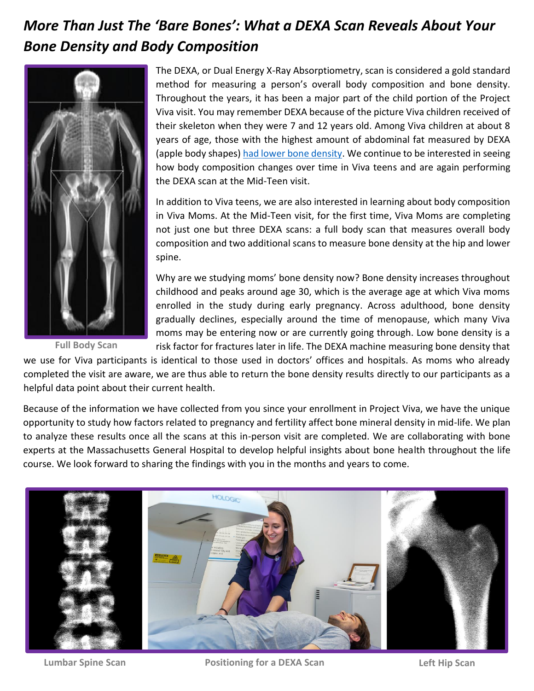## *More Than Just The 'Bare Bones': What a DEXA Scan Reveals About Your Bone Density and Body Composition*



**Full Body Scan**

The DEXA, or Dual Energy X-Ray Absorptiometry, scan is considered a gold standard method for measuring a person's overall body composition and bone density. Throughout the years, it has been a major part of the child portion of the Project Viva visit. You may remember DEXA because of the picture Viva children received of their skeleton when they were 7 and 12 years old. Among Viva children at about 8 years of age, those with the highest amount of abdominal fat measured by DEXA (apple body shapes[\) had lower bone density.](https://pubmed.ncbi.nlm.nih.gov/30557635/) We continue to be interested in seeing how body composition changes over time in Viva teens and are again performing the DEXA scan at the Mid-Teen visit.

In addition to Viva teens, we are also interested in learning about body composition in Viva Moms. At the Mid-Teen visit, for the first time, Viva Moms are completing not just one but three DEXA scans: a full body scan that measures overall body composition and two additional scans to measure bone density at the hip and lower spine.

Why are we studying moms' bone density now? Bone density increases throughout childhood and peaks around age 30, which is the average age at which Viva moms enrolled in the study during early pregnancy. Across adulthood, bone density gradually declines, especially around the time of menopause, which many Viva moms may be entering now or are currently going through. Low bone density is a risk factor for fractures later in life. The DEXA machine measuring bone density that

we use for Viva participants is identical to those used in doctors' offices and hospitals. As moms who already completed the visit are aware, we are thus able to return the bone density results directly to our participants as a helpful data point about their current health.

Because of the information we have collected from you since your enrollment in Project Viva, we have the unique opportunity to study how factors related to pregnancy and fertility affect bone mineral density in mid-life. We plan to analyze these results once all the scans at this in-person visit are completed. We are collaborating with bone experts at the Massachusetts General Hospital to develop helpful insights about bone health throughout the life course. We look forward to sharing the findings with you in the months and years to come.



**Lumbar Spine Scan Positioning for a DEXA Scan Left Hip Scan**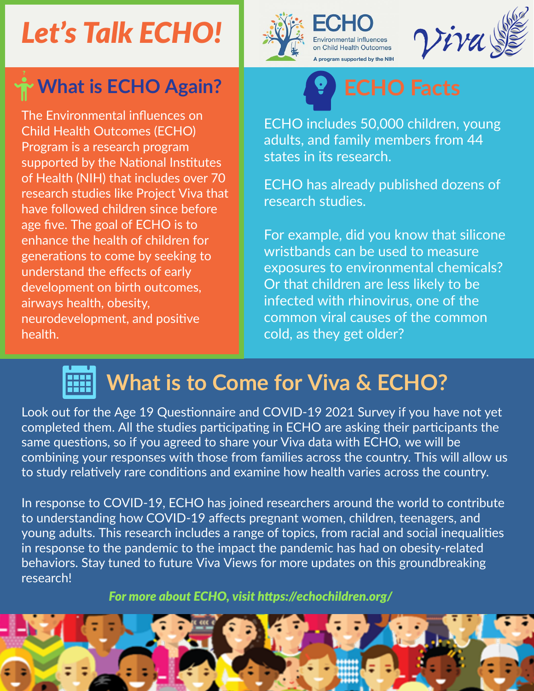# *Let's Talk ECHO!*



**ivironmental influences** on Child Health Outcomes A program supported by the NIH



## **What is ECHO Again?**

The Environmental infuences on Child Health Outcomes (ECHO) Program is a research program supported by the National Institutes generatons to come by seeking to understand the effects of early development on birth outcomes, airways health, obesity, neurodevelopment, and positve health. of Health (NIH) that includes over 70 research studies like Project Viva that have followed children since before age fve. The goal of ECHO is to enhance the health of children for



ECHO includes 50,000 children, young adults, and family members from 44 states in its research.

ECHO has already published dozens of research studies.

For example, did you know that silicone wristbands can be used to measure exposures to [environmental](https://echochildren.org/research-summaries/assessment-of-chemical-exposures-during-pregnancy-using-silicone-wristbands/) chemicals? Or that children are less likely to be infected with [rhinovirus,](https://echochildren.org/research-summaries/age-is-a-factor-in-whether-children-get-infected-with-the-common-cold/) one of the common viral causes of the common cold, as they get older?

## **What is to Come for Viva & ECHO?**

Look out for the Age 19 Questionnaire and COVID-19 2021 Survey if you have not yet completed them. All the studies participating in ECHO are asking their participants the same questions, so if you agreed to share your Viva data with ECHO, we will be combining your responses with those from families across the country. This will allow us to study relatively rare conditions and examine how health varies across the country.

research! behaviors. Stay tuned to future Viva Views for more updates on this groundbreaking In response to COVID-19, ECHO has joined researchers around the world to contribute to understanding how COVID-19 afects pregnant women, children, teenagers, and young adults. This research includes a range of topics, from racial and social inequalities in response to the pandemic to the impact the pandemic has had on obesity-related

*For more about ECHO, visit [htps://echochildren.org/](https://echochildren.org/)*